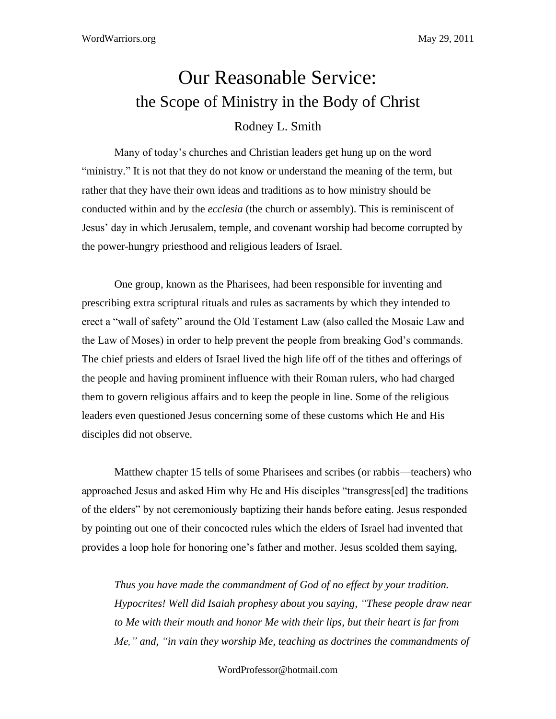## Our Reasonable Service: the Scope of Ministry in the Body of Christ Rodney L. Smith

Many of today's churches and Christian leaders get hung up on the word "ministry." It is not that they do not know or understand the meaning of the term, but rather that they have their own ideas and traditions as to how ministry should be conducted within and by the *ecclesia* (the church or assembly). This is reminiscent of Jesus' day in which Jerusalem, temple, and covenant worship had become corrupted by the power-hungry priesthood and religious leaders of Israel.

One group, known as the Pharisees, had been responsible for inventing and prescribing extra scriptural rituals and rules as sacraments by which they intended to erect a "wall of safety" around the Old Testament Law (also called the Mosaic Law and the Law of Moses) in order to help prevent the people from breaking God's commands. The chief priests and elders of Israel lived the high life off of the tithes and offerings of the people and having prominent influence with their Roman rulers, who had charged them to govern religious affairs and to keep the people in line. Some of the religious leaders even questioned Jesus concerning some of these customs which He and His disciples did not observe.

Matthew chapter 15 tells of some Pharisees and scribes (or rabbis—teachers) who approached Jesus and asked Him why He and His disciples "transgress[ed] the traditions of the elders" by not ceremoniously baptizing their hands before eating. Jesus responded by pointing out one of their concocted rules which the elders of Israel had invented that provides a loop hole for honoring one's father and mother. Jesus scolded them saying,

*Thus you have made the commandment of God of no effect by your tradition. Hypocrites! Well did Isaiah prophesy about you saying, "These people draw near to Me with their mouth and honor Me with their lips, but their heart is far from Me," and, "in vain they worship Me, teaching as doctrines the commandments of* 

WordProfessor@hotmail.com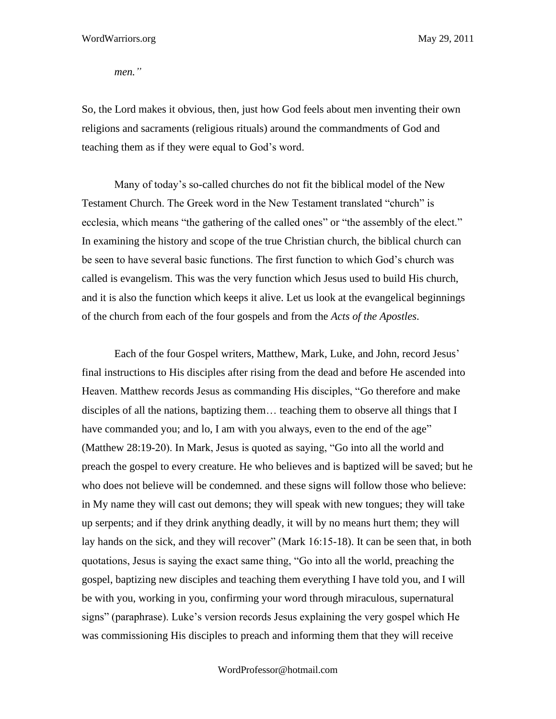*men."*

So, the Lord makes it obvious, then, just how God feels about men inventing their own religions and sacraments (religious rituals) around the commandments of God and teaching them as if they were equal to God's word.

Many of today's so-called churches do not fit the biblical model of the New Testament Church. The Greek word in the New Testament translated "church" is ecclesia, which means "the gathering of the called ones" or "the assembly of the elect." In examining the history and scope of the true Christian church, the biblical church can be seen to have several basic functions. The first function to which God's church was called is evangelism. This was the very function which Jesus used to build His church, and it is also the function which keeps it alive. Let us look at the evangelical beginnings of the church from each of the four gospels and from the *Acts of the Apostles*.

Each of the four Gospel writers, Matthew, Mark, Luke, and John, record Jesus' final instructions to His disciples after rising from the dead and before He ascended into Heaven. Matthew records Jesus as commanding His disciples, "Go therefore and make disciples of all the nations, baptizing them… teaching them to observe all things that I have commanded you; and lo, I am with you always, even to the end of the age" (Matthew 28:19-20). In Mark, Jesus is quoted as saying, "Go into all the world and preach the gospel to every creature. He who believes and is baptized will be saved; but he who does not believe will be condemned. and these signs will follow those who believe: in My name they will cast out demons; they will speak with new tongues; they will take up serpents; and if they drink anything deadly, it will by no means hurt them; they will lay hands on the sick, and they will recover" (Mark 16:15-18). It can be seen that, in both quotations, Jesus is saying the exact same thing, "Go into all the world, preaching the gospel, baptizing new disciples and teaching them everything I have told you, and I will be with you, working in you, confirming your word through miraculous, supernatural signs" (paraphrase). Luke's version records Jesus explaining the very gospel which He was commissioning His disciples to preach and informing them that they will receive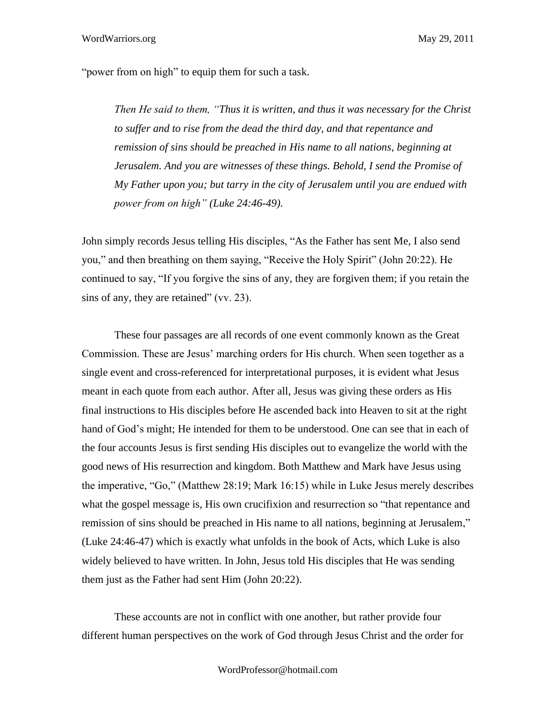"power from on high" to equip them for such a task.

*Then He said to them, "Thus it is written, and thus it was necessary for the Christ to suffer and to rise from the dead the third day, and that repentance and remission of sins should be preached in His name to all nations, beginning at Jerusalem. And you are witnesses of these things. Behold, I send the Promise of My Father upon you; but tarry in the city of Jerusalem until you are endued with power from on high" (Luke 24:46-49).* 

John simply records Jesus telling His disciples, "As the Father has sent Me, I also send you," and then breathing on them saying, "Receive the Holy Spirit" (John 20:22). He continued to say, "If you forgive the sins of any, they are forgiven them; if you retain the sins of any, they are retained" (vv. 23).

These four passages are all records of one event commonly known as the Great Commission. These are Jesus' marching orders for His church. When seen together as a single event and cross-referenced for interpretational purposes, it is evident what Jesus meant in each quote from each author. After all, Jesus was giving these orders as His final instructions to His disciples before He ascended back into Heaven to sit at the right hand of God's might; He intended for them to be understood. One can see that in each of the four accounts Jesus is first sending His disciples out to evangelize the world with the good news of His resurrection and kingdom. Both Matthew and Mark have Jesus using the imperative, "Go," (Matthew 28:19; Mark 16:15) while in Luke Jesus merely describes what the gospel message is, His own crucifixion and resurrection so "that repentance and remission of sins should be preached in His name to all nations, beginning at Jerusalem," (Luke 24:46-47) which is exactly what unfolds in the book of Acts, which Luke is also widely believed to have written. In John, Jesus told His disciples that He was sending them just as the Father had sent Him (John 20:22).

These accounts are not in conflict with one another, but rather provide four different human perspectives on the work of God through Jesus Christ and the order for

WordProfessor@hotmail.com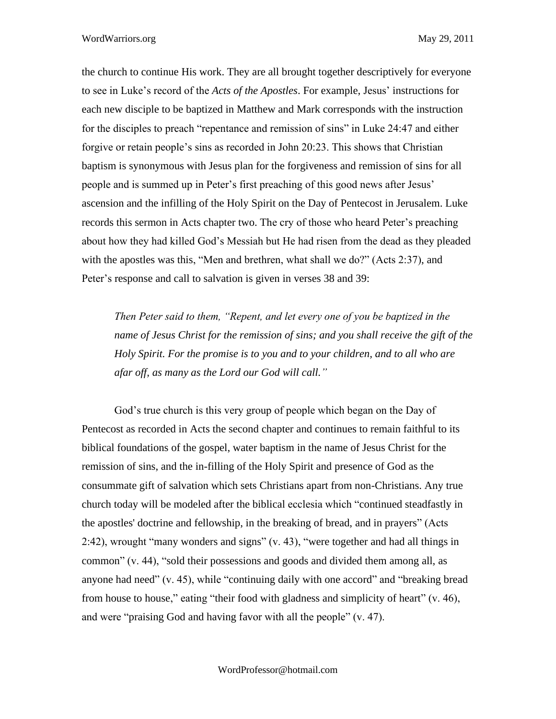the church to continue His work. They are all brought together descriptively for everyone to see in Luke's record of the *Acts of the Apostles*. For example, Jesus' instructions for each new disciple to be baptized in Matthew and Mark corresponds with the instruction for the disciples to preach "repentance and remission of sins" in Luke 24:47 and either forgive or retain people's sins as recorded in John 20:23. This shows that Christian baptism is synonymous with Jesus plan for the forgiveness and remission of sins for all people and is summed up in Peter's first preaching of this good news after Jesus' ascension and the infilling of the Holy Spirit on the Day of Pentecost in Jerusalem. Luke records this sermon in Acts chapter two. The cry of those who heard Peter's preaching about how they had killed God's Messiah but He had risen from the dead as they pleaded with the apostles was this, "Men and brethren, what shall we do?" (Acts 2:37), and Peter's response and call to salvation is given in verses 38 and 39:

*Then Peter said to them, "Repent, and let every one of you be baptized in the name of Jesus Christ for the remission of sins; and you shall receive the gift of the Holy Spirit. For the promise is to you and to your children, and to all who are afar off, as many as the Lord our God will call."*

God's true church is this very group of people which began on the Day of Pentecost as recorded in Acts the second chapter and continues to remain faithful to its biblical foundations of the gospel, water baptism in the name of Jesus Christ for the remission of sins, and the in-filling of the Holy Spirit and presence of God as the consummate gift of salvation which sets Christians apart from non-Christians. Any true church today will be modeled after the biblical ecclesia which "continued steadfastly in the apostles' doctrine and fellowship, in the breaking of bread, and in prayers" (Acts 2:42), wrought "many wonders and signs" (v. 43), "were together and had all things in common" (v. 44), "sold their possessions and goods and divided them among all, as anyone had need" (v. 45), while "continuing daily with one accord" and "breaking bread from house to house," eating "their food with gladness and simplicity of heart" (v. 46), and were "praising God and having favor with all the people" (v. 47).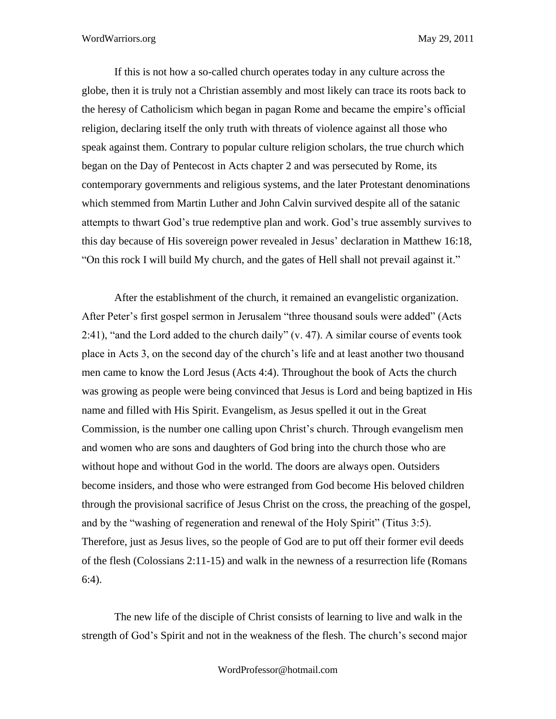If this is not how a so-called church operates today in any culture across the globe, then it is truly not a Christian assembly and most likely can trace its roots back to the heresy of Catholicism which began in pagan Rome and became the empire's official religion, declaring itself the only truth with threats of violence against all those who speak against them. Contrary to popular culture religion scholars, the true church which began on the Day of Pentecost in Acts chapter 2 and was persecuted by Rome, its contemporary governments and religious systems, and the later Protestant denominations which stemmed from Martin Luther and John Calvin survived despite all of the satanic attempts to thwart God's true redemptive plan and work. God's true assembly survives to this day because of His sovereign power revealed in Jesus' declaration in Matthew 16:18, "On this rock I will build My church, and the gates of Hell shall not prevail against it."

After the establishment of the church, it remained an evangelistic organization. After Peter's first gospel sermon in Jerusalem "three thousand souls were added" (Acts 2:41), "and the Lord added to the church daily" (v. 47). A similar course of events took place in Acts 3, on the second day of the church's life and at least another two thousand men came to know the Lord Jesus (Acts 4:4). Throughout the book of Acts the church was growing as people were being convinced that Jesus is Lord and being baptized in His name and filled with His Spirit. Evangelism, as Jesus spelled it out in the Great Commission, is the number one calling upon Christ's church. Through evangelism men and women who are sons and daughters of God bring into the church those who are without hope and without God in the world. The doors are always open. Outsiders become insiders, and those who were estranged from God become His beloved children through the provisional sacrifice of Jesus Christ on the cross, the preaching of the gospel, and by the "washing of regeneration and renewal of the Holy Spirit" (Titus 3:5). Therefore, just as Jesus lives, so the people of God are to put off their former evil deeds of the flesh (Colossians 2:11-15) and walk in the newness of a resurrection life (Romans 6:4).

The new life of the disciple of Christ consists of learning to live and walk in the strength of God's Spirit and not in the weakness of the flesh. The church's second major

WordProfessor@hotmail.com